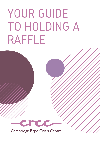# YOUR GUIDE TO HOLDING A RAFFLE



ence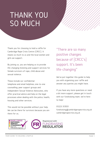### THANK YOU SO MUCH

Thank you for choosing to hold a raffle for Cambridge Rape Crisis Centre (CRCC). It means so much to us and the local women and girls we support.

By joining us, you are helping us to provide life-changing listening and support services for female survivors of rape, child abuse and sexual violence.

These include our confidential telephone and email helplines; one-to-one counselling; peer support groups and Independent Sexual Violence Advocates, who offer practical advice and help on the legal processes when dealing with the police, health, housing and other services.

This would not be possible without your help. We can be there for survivors because you are there for us.

"There are so many positive changes because of [CRCC's] support. It's been life-changing"

We've put together this guide to help you with organising your raffle and answer any queries you might have.

If you have any more questions or need a bit more support, please get in touch with our fundraising team. we're here to help!

01223 313551

fundraising@cambridgerapecrisis.org.uk cambridgerapecrisis.org.uk

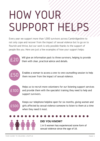# HOW YOUR SUPPORT HEL

Every year we support more than 1,000 survivors across Cambridgeshire to not only cope and recover from the impact of sexual violence but to go on to flourish and thrive, but our work is only possible thanks to the support of people like you. Here are just a few examples of how your support helps:



ou. Here are just a few examples of how your support helps:<br>Will give an information pack to three survivors, helping to provide them with clear, practical advice and details.



Enables a woman to access a one-to-one counselling session to help them recover from the impact of sexual violence.



Helps us to recruit more volunteers for our listening support services and provide them with the specialist training they need to help and support survivors.



Keeps our telephone helpline open for six months, giving women and girls affected by sexual violence someone to listen to them at a time when they need it most.

#### PERCENT

#### **DID YOU KNOW?**

1 in 5 women has experienced some form of sexual violence since the age of 16.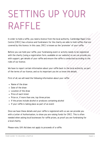## SETTING UP YOUR RAFFLE

In order to hold a raffle, you need a licence from the local authority. Cambridge Rape Crisis Centre (CRCC) has a licence and fundraisers for the charity are able to hold raffles that are covered by this licence. In this case, CRCC is known as the 'promoter' of your raffle.

Before you can hold your raffle, your fundraising event or activity needs to be registered with the charity (using a registration form, available on our website) so we can provide you with support, get details of your raffle and ensure the raffle is conducted according to the rules of our licence.

We have to report certain information about your raffle back to the local authority, as part of the terms of our licence, and so its important you let us know the details.

First of all, we will need the following information about your raffle:

- Name of the draw
- Date of the draw
- Location of the draw
- Price of each ticket
- Prize or, if more than one, top three prizes
- If the prizes include alcohol or produces containing alcohol
- If your raffle is taking place as part of an event

Once we have these details and your raffle is registered with us we can provide you with a Letter of Authorisation, to show you are raising funds for CRCC. This is often needed when asking local businesses for raffle prizes, as proof you are fundraising for a local charity.

Please note, Gift Aid does not apply to proceeds of a raffle.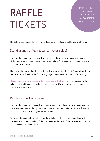## RAFFLE TICKETS

#### IMPORTANT!

If your raffle is llikely to bring in £1000 or more, please let us know a.s.a.p.

The tickets you can use for your raffle depends on the type of raffle you are holding:

#### Stand-alone raffles (advance ticket sales)

If you are holding a stand-alone raffle or a raffle where the tickets are sold in advance of the draw then you need to use pre-printed tickets. These can be purchased online or with your local printers.

The information printed on the tickets must be approved by the CRCC fundraising team before printing. Speak to the fundraising to get the correct information for printing.

Please do not print any tickets without speaking with CRCC first. The wording on the tickets is a condition of our raffle licence and your raffle will not be covered by our licence if it is not correct.

#### Raffles as part of an event

If you are holding a raffle as part of a fundraising event, where the tickets are sold and the winners announced during the event, then you can use cloakroom tickets. These can be purchased online or from your local stationers.

No information needs to be printed on these tickets but it's recommended you write the name and contact number of the purchaser on the back of the retained stub, just in case they leave the event early.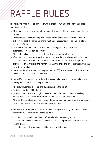## RAFFLE RULES

The following rules must be complied with in order to run any raffle for Cambridge Rape Crisis Centre:

- Tickets must not be sold by, sold to, bought by or bought for anyone under 16 years of age.
- Tickets must be sold for the price printed on the ticket or advertised and every ticket must cost the same, i.e. there must be no discounts such as five tickets for the price of four;
- No-one can take part in the raffle without having paid for a ticket, and once purchased, no ticket can be returned;
- All counterfoils of purchased tickets must be entered into the draw.
- When a ticket is drawn for a prize, that ticket must be the winning ticket, i.e. you can't put the ticket back in the draw and redraw another ticket for the prize. The only exception to this is if the winner declines the prize and gives permission for the draw to be retaken.
- Immediate family members of the promoter (CRCC) or the individual doing the draw may not purchase tickets in the raffle.

If your raffle is a stand-alone raffle with advance ticket sale and printed tickets, the following rules must also be complied with:

- The draw must take place on the date printed on the ticket;
- No ticket may be sold in the street;
- No ticket must be sold through house-to-house collections or doorstep selling;
- All sold ticket stubs must be returned to Cambridge Rape Crisis Centre;
- All unsold ticket stubs must be returned to Cambridge Rape Crisis Centre for secure destruction, please do not throw them away yourself;

If your raffle is taking place as part of an event and you are using cloakroom tickets, the following rules must also be complied with:

- You must not spend more than £100 on related expenses e.g. tickets;
- host only be sold doring the event and on the pro Tickets must only be sold during the event and on the premises where the event is taking place;
- The winners must be announced while the event is taking place.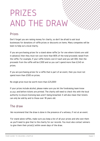## PRIZES AND THE DRAW

#### Prizes

Don't forget you are raising money for charity, so don't be afraid to ask local businesses for donations of raffle prizes or discounts on items. Many companies will be keen to help out a local charity.

If you are purchasing prizes for a stand-alone raffle (or for one where tickets are sold in advance) then they must not cost more than 80% of the total proceeds raised from the raffle. For example, if your raffle tickets cost £1 each and you sell 300, then the proceeds from the raffle will be £300 and so you can't spend more than £240 on prizes.

If you are purchasing prizes for a raffle that is part of an event, then you must not spend more than £500 on prizes.

No single prize must be worth more than £25,000!

If your prizes include alcohol, please make sure you let the fundraising team know a.s.a.p. and before tickets are printed. The charity will need to check this with the local authority to ensure licensing laws aren't being breached. It will also mean that tickets can only be sold by and to those over 18 years old.

#### The draw

We recommend that the draw is done in the presence of a witness, if not at an event.

For stand-alone raffles, make sure you keep a list of all your prizes and who won them as you'll need to give that to the charity for our records. You must also contact winners to give them their prize(s) within seven days of the draw.